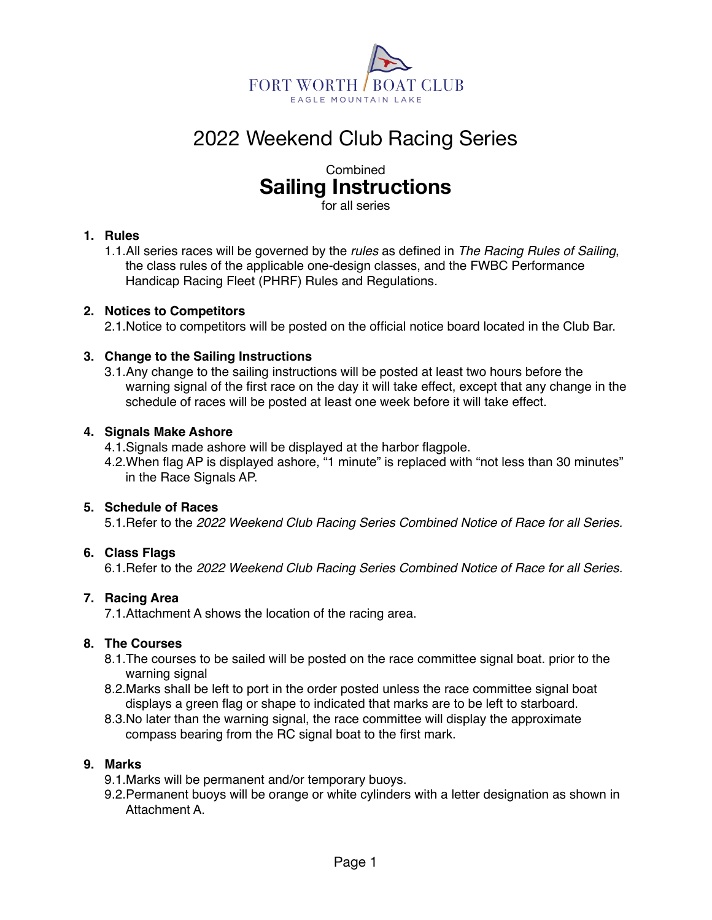

# 2022 Weekend Club Racing Series

## Combined **Sailing Instructions**

for all series

## **1. Rules**

1.1.All series races will be governed by the *rules* as defined in *The Racing Rules of Sailing*, the class rules of the applicable one-design classes, and the FWBC Performance Handicap Racing Fleet (PHRF) Rules and Regulations*.*

## **2. Notices to Competitors**

2.1.Notice to competitors will be posted on the official notice board located in the Club Bar.

## **3. Change to the Sailing Instructions**

3.1.Any change to the sailing instructions will be posted at least two hours before the warning signal of the first race on the day it will take effect, except that any change in the schedule of races will be posted at least one week before it will take effect.

## **4. Signals Make Ashore**

4.1.Signals made ashore will be displayed at the harbor flagpole.

4.2.When flag AP is displayed ashore, "1 minute" is replaced with "not less than 30 minutes" in the Race Signals AP.

## **5. Schedule of Races**

5.1.Refer to the *2022 Weekend Club Racing Series Combined Notice of Race for all Series.*

## **6. Class Flags**

6.1.Refer to the *2022 Weekend Club Racing Series Combined Notice of Race for all Series.*

#### **7. Racing Area**

7.1.Attachment A shows the location of the racing area.

#### **8. The Courses**

- 8.1.The courses to be sailed will be posted on the race committee signal boat. prior to the warning signal
- 8.2.Marks shall be left to port in the order posted unless the race committee signal boat displays a green flag or shape to indicated that marks are to be left to starboard.
- 8.3.No later than the warning signal, the race committee will display the approximate compass bearing from the RC signal boat to the first mark.

#### **9. Marks**

9.1.Marks will be permanent and/or temporary buoys.

9.2.Permanent buoys will be orange or white cylinders with a letter designation as shown in Attachment A.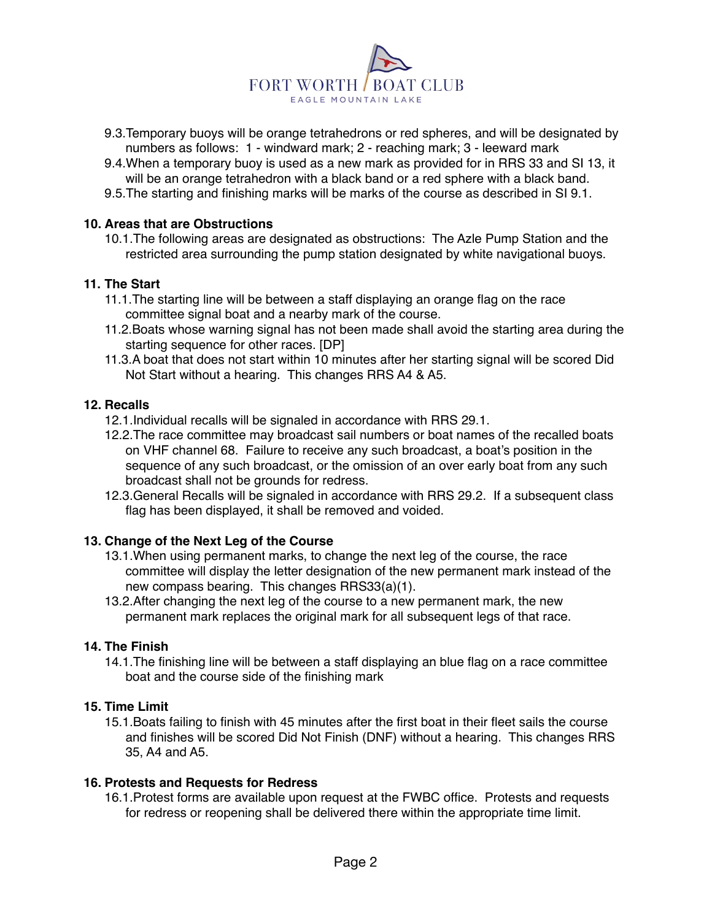

- 9.3.Temporary buoys will be orange tetrahedrons or red spheres, and will be designated by numbers as follows: 1 - windward mark; 2 - reaching mark; 3 - leeward mark
- 9.4.When a temporary buoy is used as a new mark as provided for in RRS 33 and SI 13, it will be an orange tetrahedron with a black band or a red sphere with a black band.
- 9.5.The starting and finishing marks will be marks of the course as described in SI 9.1.

#### **10. Areas that are Obstructions**

10.1.The following areas are designated as obstructions: The Azle Pump Station and the restricted area surrounding the pump station designated by white navigational buoys.

#### **11. The Start**

- 11.1.The starting line will be between a staff displaying an orange flag on the race committee signal boat and a nearby mark of the course.
- 11.2.Boats whose warning signal has not been made shall avoid the starting area during the starting sequence for other races. [DP]
- 11.3.A boat that does not start within 10 minutes after her starting signal will be scored Did Not Start without a hearing. This changes RRS A4 & A5.

#### **12. Recalls**

- 12.1.Individual recalls will be signaled in accordance with RRS 29.1.
- 12.2.The race committee may broadcast sail numbers or boat names of the recalled boats on VHF channel 68. Failure to receive any such broadcast, a boat's position in the sequence of any such broadcast, or the omission of an over early boat from any such broadcast shall not be grounds for redress.
- 12.3.General Recalls will be signaled in accordance with RRS 29.2. If a subsequent class flag has been displayed, it shall be removed and voided.

#### **13. Change of the Next Leg of the Course**

- 13.1.When using permanent marks, to change the next leg of the course, the race committee will display the letter designation of the new permanent mark instead of the new compass bearing. This changes RRS33(a)(1).
- 13.2.After changing the next leg of the course to a new permanent mark, the new permanent mark replaces the original mark for all subsequent legs of that race.

#### **14. The Finish**

14.1.The finishing line will be between a staff displaying an blue flag on a race committee boat and the course side of the finishing mark

#### **15. Time Limit**

15.1.Boats failing to finish with 45 minutes after the first boat in their fleet sails the course and finishes will be scored Did Not Finish (DNF) without a hearing. This changes RRS 35, A4 and A5.

#### **16. Protests and Requests for Redress**

16.1.Protest forms are available upon request at the FWBC office. Protests and requests for redress or reopening shall be delivered there within the appropriate time limit.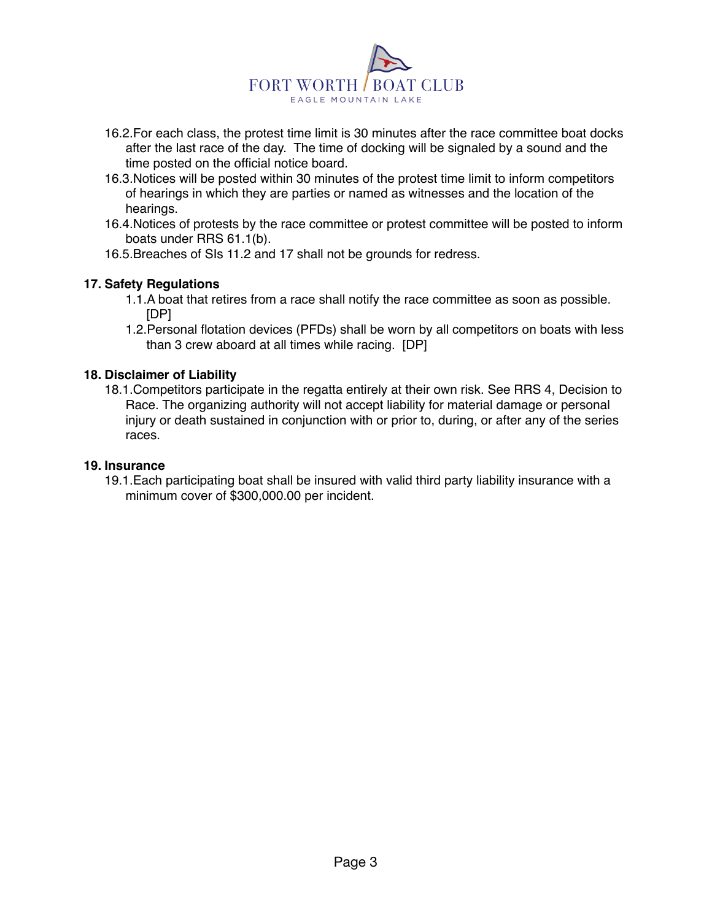

- 16.2.For each class, the protest time limit is 30 minutes after the race committee boat docks after the last race of the day. The time of docking will be signaled by a sound and the time posted on the official notice board.
- 16.3.Notices will be posted within 30 minutes of the protest time limit to inform competitors of hearings in which they are parties or named as witnesses and the location of the hearings.
- 16.4.Notices of protests by the race committee or protest committee will be posted to inform boats under RRS 61.1(b).
- 16.5.Breaches of SIs 11.2 and 17 shall not be grounds for redress.

#### **17. Safety Regulations**

- 1.1.A boat that retires from a race shall notify the race committee as soon as possible. [DP]
- 1.2.Personal flotation devices (PFDs) shall be worn by all competitors on boats with less than 3 crew aboard at all times while racing. [DP]

#### **18. Disclaimer of Liability**

18.1.Competitors participate in the regatta entirely at their own risk. See RRS 4, Decision to Race. The organizing authority will not accept liability for material damage or personal injury or death sustained in conjunction with or prior to, during, or after any of the series races.

#### **19. Insurance**

19.1.Each participating boat shall be insured with valid third party liability insurance with a minimum cover of \$300,000.00 per incident.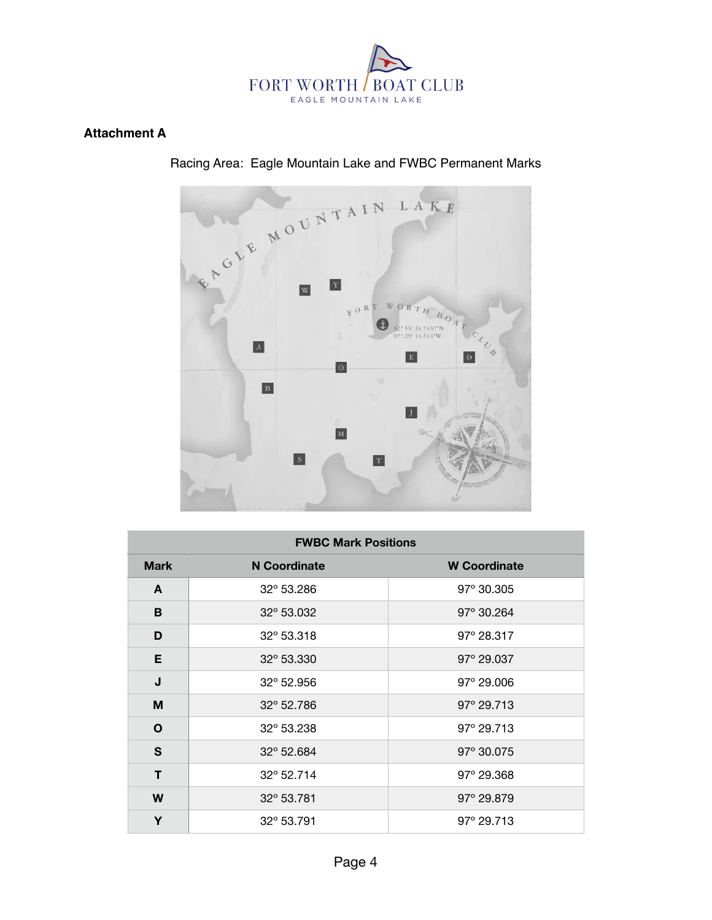

## **Attachment A**



| <b>FWBC Mark Positions</b> |              |                     |  |  |  |  |  |  |  |
|----------------------------|--------------|---------------------|--|--|--|--|--|--|--|
| <b>Mark</b>                | N Coordinate | <b>W</b> Coordinate |  |  |  |  |  |  |  |
| A                          | 32° 53.286   | 97° 30.305          |  |  |  |  |  |  |  |
| B                          | 32° 53.032   | $97^{\circ}$ 30.264 |  |  |  |  |  |  |  |
| D                          | 32° 53.318   | $97^{\circ}$ 28.317 |  |  |  |  |  |  |  |
| E                          | 32° 53.330   | $97^{\circ}$ 29.037 |  |  |  |  |  |  |  |
| J                          | 32° 52.956   | 97° 29.006          |  |  |  |  |  |  |  |
| M                          | 32° 52.786   | $97^{\circ}$ 29.713 |  |  |  |  |  |  |  |
| O                          | 32° 53.238   | $97^{\circ}$ 29.713 |  |  |  |  |  |  |  |
| S                          | 32° 52.684   | 97° 30.075          |  |  |  |  |  |  |  |
| т                          | 32° 52.714   | $97^{\circ}$ 29.368 |  |  |  |  |  |  |  |
| W                          | 32° 53.781   | 97° 29.879          |  |  |  |  |  |  |  |
| Υ                          | 32° 53.791   | $97^{\circ}$ 29.713 |  |  |  |  |  |  |  |